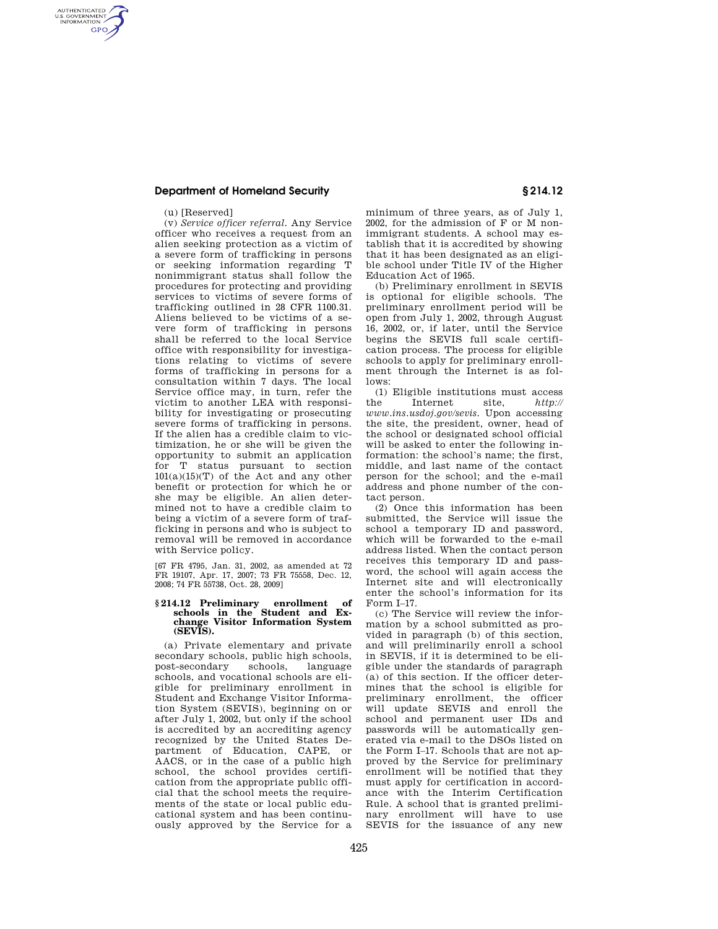## **Department of Homeland Security § 214.12**

(u) [Reserved]

AUTHENTICATED<br>U.S. GOVERNMENT<br>INFORMATION **GPO** 

> (v) *Service officer referral.* Any Service officer who receives a request from an alien seeking protection as a victim of a severe form of trafficking in persons or seeking information regarding T nonimmigrant status shall follow the procedures for protecting and providing services to victims of severe forms of trafficking outlined in 28 CFR 1100.31. Aliens believed to be victims of a severe form of trafficking in persons shall be referred to the local Service office with responsibility for investigations relating to victims of severe forms of trafficking in persons for a consultation within 7 days. The local Service office may, in turn, refer the victim to another LEA with responsibility for investigating or prosecuting severe forms of trafficking in persons. If the alien has a credible claim to victimization, he or she will be given the opportunity to submit an application for T status pursuant to section  $101(a)(15)(T)$  of the Act and any other benefit or protection for which he or she may be eligible. An alien determined not to have a credible claim to being a victim of a severe form of trafficking in persons and who is subject to removal will be removed in accordance with Service policy.

[67 FR 4795, Jan. 31, 2002, as amended at 72 FR 19107, Apr. 17, 2007; 73 FR 75558, Dec. 12, 2008; 74 FR 55738, Oct. 28, 2009]

## **§ 214.12 Preliminary enrollment of schools in the Student and Exchange Visitor Information System (SEVIS).**

(a) Private elementary and private secondary schools, public high schools,<br>post-secondary schools, language post-secondary schools, schools, and vocational schools are eligible for preliminary enrollment in Student and Exchange Visitor Information System (SEVIS), beginning on or after July 1, 2002, but only if the school is accredited by an accrediting agency recognized by the United States Department of Education, CAPE, or AACS, or in the case of a public high school, the school provides certification from the appropriate public official that the school meets the requirements of the state or local public educational system and has been continuously approved by the Service for a

minimum of three years, as of July 1, 2002, for the admission of F or M nonimmigrant students. A school may establish that it is accredited by showing that it has been designated as an eligible school under Title IV of the Higher Education Act of 1965.

(b) Preliminary enrollment in SEVIS is optional for eligible schools. The preliminary enrollment period will be open from July 1, 2002, through August 16, 2002, or, if later, until the Service begins the SEVIS full scale certification process. The process for eligible schools to apply for preliminary enrollment through the Internet is as follows:

(1) Eligible institutions must access the Internet site, *http:// www.ins.usdoj.gov/sevis.* Upon accessing the site, the president, owner, head of the school or designated school official will be asked to enter the following information: the school's name; the first, middle, and last name of the contact person for the school; and the e-mail address and phone number of the contact person.

(2) Once this information has been submitted, the Service will issue the school a temporary ID and password, which will be forwarded to the e-mail address listed. When the contact person receives this temporary ID and password, the school will again access the Internet site and will electronically enter the school's information for its Form I–17.

(c) The Service will review the information by a school submitted as provided in paragraph (b) of this section, and will preliminarily enroll a school in SEVIS, if it is determined to be eligible under the standards of paragraph (a) of this section. If the officer determines that the school is eligible for preliminary enrollment, the officer will update SEVIS and enroll the school and permanent user IDs and passwords will be automatically generated via e-mail to the DSOs listed on the Form I–17. Schools that are not approved by the Service for preliminary enrollment will be notified that they must apply for certification in accordance with the Interim Certification Rule. A school that is granted preliminary enrollment will have to use SEVIS for the issuance of any new